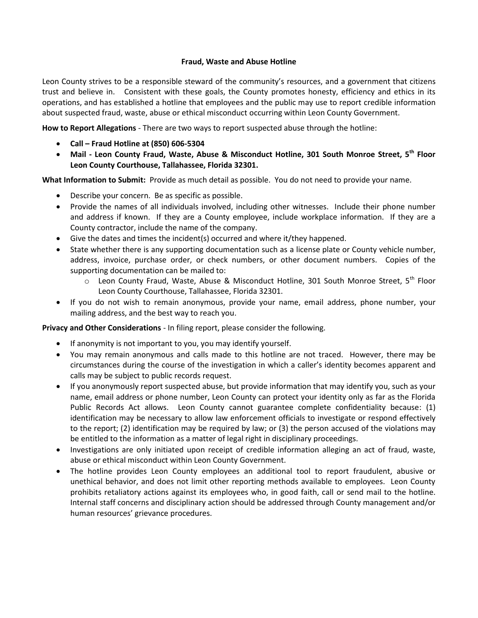## **Fraud, Waste and Abuse Hotline**

Leon County strives to be a responsible steward of the community's resources, and a government that citizens trust and believe in. Consistent with these goals, the County promotes honesty, efficiency and ethics in its operations, and has established a hotline that employees and the public may use to report credible information about suspected fraud, waste, abuse or ethical misconduct occurring within Leon County Government.

**How to Report Allegations** - There are two ways to report suspected abuse through the hotline:

- **Call – Fraud Hotline at (850) 606-5304**
- **Mail - Leon County Fraud, Waste, Abuse & Misconduct Hotline, 301 South Monroe Street, 5th Floor Leon County Courthouse, Tallahassee, Florida 32301.**

**What Information to Submit:** Provide as much detail as possible. You do not need to provide your name.

- Describe your concern. Be as specific as possible.
- Provide the names of all individuals involved, including other witnesses. Include their phone number and address if known. If they are a County employee, include workplace information. If they are a County contractor, include the name of the company.
- Give the dates and times the incident(s) occurred and where it/they happened.
- State whether there is any supporting documentation such as a license plate or County vehicle number, address, invoice, purchase order, or check numbers, or other document numbers. Copies of the supporting documentation can be mailed to:
	- $\circ$  Leon County Fraud, Waste, Abuse & Misconduct Hotline, 301 South Monroe Street, 5<sup>th</sup> Floor Leon County Courthouse, Tallahassee, Florida 32301.
- If you do not wish to remain anonymous, provide your name, email address, phone number, your mailing address, and the best way to reach you.

**Privacy and Other Considerations** - In filing report, please consider the following.

- If anonymity is not important to you, you may identify yourself.
- You may remain anonymous and calls made to this hotline are not traced. However, there may be circumstances during the course of the investigation in which a caller's identity becomes apparent and calls may be subject to public records request.
- If you anonymously report suspected abuse, but provide information that may identify you, such as your name, email address or phone number, Leon County can protect your identity only as far as the Florida Public Records Act allows. Leon County cannot guarantee complete confidentiality because: (1) identification may be necessary to allow law enforcement officials to investigate or respond effectively to the report; (2) identification may be required by law; or (3) the person accused of the violations may be entitled to the information as a matter of legal right in disciplinary proceedings.
- Investigations are only initiated upon receipt of credible information alleging an act of fraud, waste, abuse or ethical misconduct within Leon County Government.
- The hotline provides Leon County employees an additional tool to report fraudulent, abusive or unethical behavior, and does not limit other reporting methods available to employees. Leon County prohibits retaliatory actions against its employees who, in good faith, call or send mail to the hotline. Internal staff concerns and disciplinary action should be addressed through County management and/or human resources' grievance procedures.